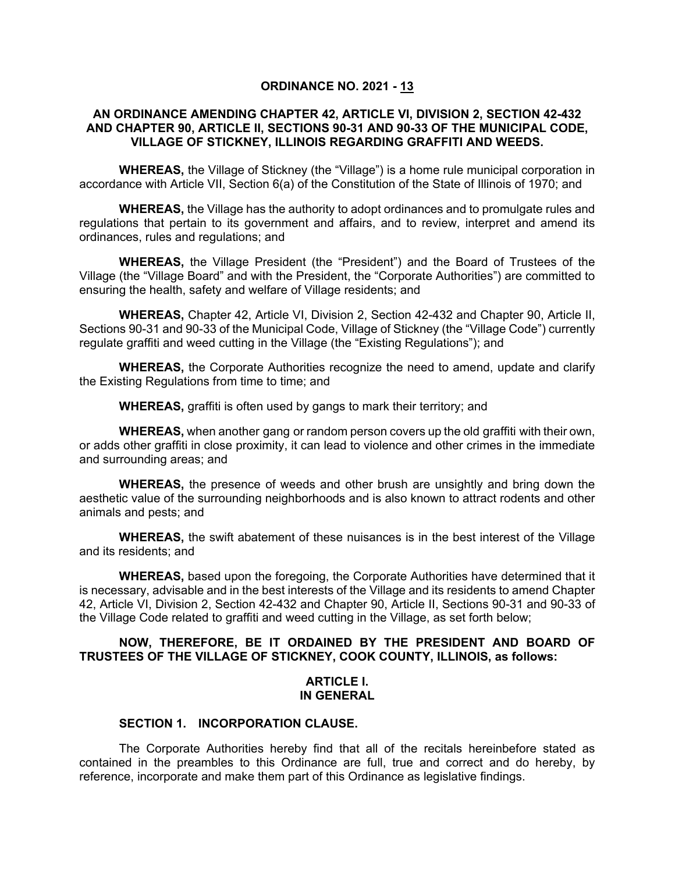## **ORDINANCE NO. 2021 - 13**

## **AN ORDINANCE AMENDING CHAPTER 42, ARTICLE VI, DIVISION 2, SECTION 42-432 AND CHAPTER 90, ARTICLE II, SECTIONS 90-31 AND 90-33 OF THE MUNICIPAL CODE, VILLAGE OF STICKNEY, ILLINOIS REGARDING GRAFFITI AND WEEDS.**

**WHEREAS,** the Village of Stickney (the "Village") is a home rule municipal corporation in accordance with Article VII, Section 6(a) of the Constitution of the State of Illinois of 1970; and

**WHEREAS,** the Village has the authority to adopt ordinances and to promulgate rules and regulations that pertain to its government and affairs, and to review, interpret and amend its ordinances, rules and regulations; and

**WHEREAS,** the Village President (the "President") and the Board of Trustees of the Village (the "Village Board" and with the President, the "Corporate Authorities") are committed to ensuring the health, safety and welfare of Village residents; and

**WHEREAS,** Chapter 42, Article VI, Division 2, Section 42-432 and Chapter 90, Article II, Sections 90-31 and 90-33 of the Municipal Code, Village of Stickney (the "Village Code") currently regulate graffiti and weed cutting in the Village (the "Existing Regulations"); and

**WHEREAS,** the Corporate Authorities recognize the need to amend, update and clarify the Existing Regulations from time to time; and

**WHEREAS,** graffiti is often used by gangs to mark their territory; and

**WHEREAS,** when another gang or random person covers up the old graffiti with their own, or adds other graffiti in close proximity, it can lead to violence and other crimes in the immediate and surrounding areas; and

**WHEREAS,** the presence of weeds and other brush are unsightly and bring down the aesthetic value of the surrounding neighborhoods and is also known to attract rodents and other animals and pests; and

**WHEREAS,** the swift abatement of these nuisances is in the best interest of the Village and its residents; and

**WHEREAS,** based upon the foregoing, the Corporate Authorities have determined that it is necessary, advisable and in the best interests of the Village and its residents to amend Chapter 42, Article VI, Division 2, Section 42-432 and Chapter 90, Article II, Sections 90-31 and 90-33 of the Village Code related to graffiti and weed cutting in the Village, as set forth below;

## **NOW, THEREFORE, BE IT ORDAINED BY THE PRESIDENT AND BOARD OF TRUSTEES OF THE VILLAGE OF STICKNEY, COOK COUNTY, ILLINOIS, as follows:**

## **ARTICLE I. IN GENERAL**

# **SECTION 1. INCORPORATION CLAUSE.**

The Corporate Authorities hereby find that all of the recitals hereinbefore stated as contained in the preambles to this Ordinance are full, true and correct and do hereby, by reference, incorporate and make them part of this Ordinance as legislative findings.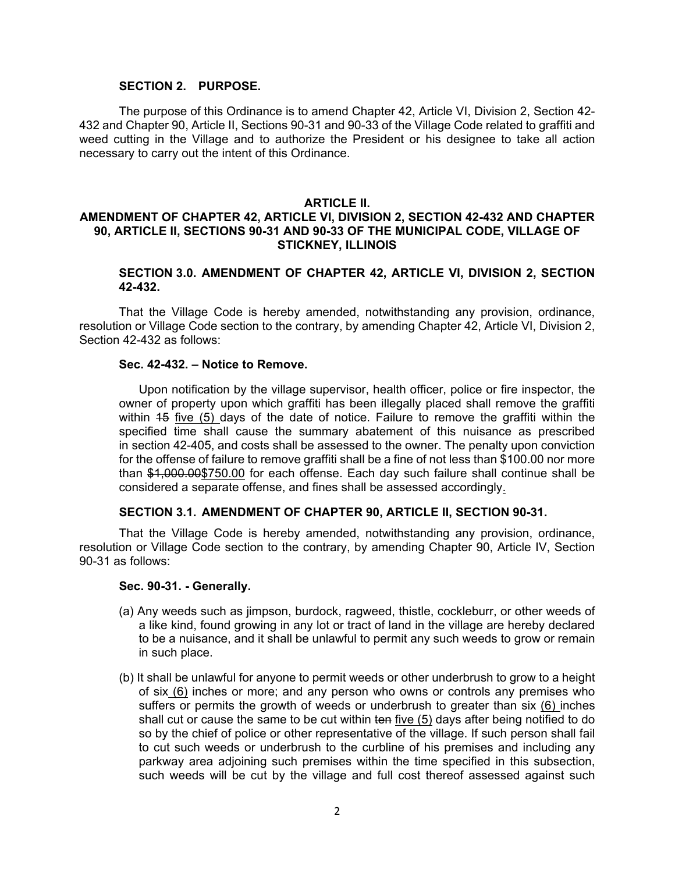## **SECTION 2. PURPOSE.**

The purpose of this Ordinance is to amend Chapter 42, Article VI, Division 2, Section 42- 432 and Chapter 90, Article II, Sections 90-31 and 90-33 of the Village Code related to graffiti and weed cutting in the Village and to authorize the President or his designee to take all action necessary to carry out the intent of this Ordinance.

## **ARTICLE II.**

# **AMENDMENT OF CHAPTER 42, ARTICLE VI, DIVISION 2, SECTION 42-432 AND CHAPTER 90, ARTICLE II, SECTIONS 90-31 AND 90-33 OF THE MUNICIPAL CODE, VILLAGE OF STICKNEY, ILLINOIS**

## **SECTION 3.0. AMENDMENT OF CHAPTER 42, ARTICLE VI, DIVISION 2, SECTION 42-432.**

That the Village Code is hereby amended, notwithstanding any provision, ordinance, resolution or Village Code section to the contrary, by amending Chapter 42, Article VI, Division 2, Section 42-432 as follows:

#### **Sec. 42-432. – Notice to Remove.**

Upon notification by the village supervisor, health officer, police or fire inspector, the owner of property upon which graffiti has been illegally placed shall remove the graffiti within 15 five (5) days of the date of notice. Failure to remove the graffiti within the specified time shall cause the summary abatement of this nuisance as prescribed in section 42-405, and costs shall be assessed to the owner. The penalty upon conviction for the offense of failure to remove graffiti shall be a fine of not less than \$100.00 nor more than \$1,000.00\$750.00 for each offense. Each day such failure shall continue shall be considered a separate offense, and fines shall be assessed accordingly.

## **SECTION 3.1. AMENDMENT OF CHAPTER 90, ARTICLE II, SECTION 90-31.**

That the Village Code is hereby amended, notwithstanding any provision, ordinance, resolution or Village Code section to the contrary, by amending Chapter 90, Article IV, Section 90-31 as follows:

#### **Sec. 90-31. - Generally.**

- (a) Any weeds such as jimpson, burdock, ragweed, thistle, cockleburr, or other weeds of a like kind, found growing in any lot or tract of land in the village are hereby declared to be a nuisance, and it shall be unlawful to permit any such weeds to grow or remain in such place.
- (b) It shall be unlawful for anyone to permit weeds or other underbrush to grow to a height of six (6) inches or more; and any person who owns or controls any premises who suffers or permits the growth of weeds or underbrush to greater than six (6) inches shall cut or cause the same to be cut within ten five (5) days after being notified to do so by the chief of police or other representative of the village. If such person shall fail to cut such weeds or underbrush to the curbline of his premises and including any parkway area adjoining such premises within the time specified in this subsection, such weeds will be cut by the village and full cost thereof assessed against such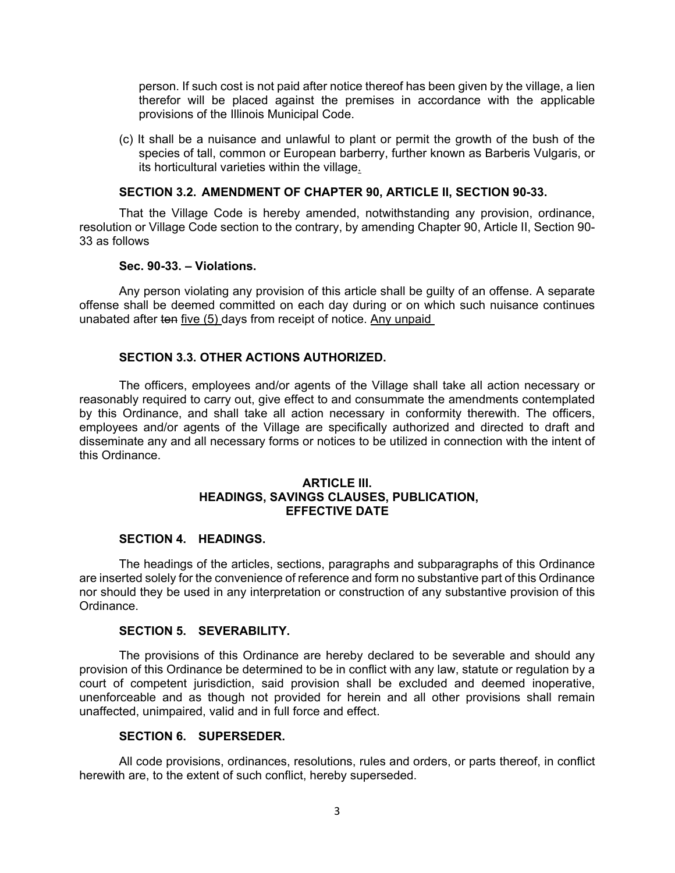person. If such cost is not paid after notice thereof has been given by the village, a lien therefor will be placed against the premises in accordance with the applicable provisions of the Illinois Municipal Code.

(c) It shall be a nuisance and unlawful to plant or permit the growth of the bush of the species of tall, common or European barberry, further known as Barberis Vulgaris, or its horticultural varieties within the village.

## **SECTION 3.2. AMENDMENT OF CHAPTER 90, ARTICLE II, SECTION 90-33.**

That the Village Code is hereby amended, notwithstanding any provision, ordinance, resolution or Village Code section to the contrary, by amending Chapter 90, Article II, Section 90- 33 as follows

## **Sec. 90-33. – Violations.**

Any person violating any provision of this article shall be guilty of an offense. A separate offense shall be deemed committed on each day during or on which such nuisance continues unabated after ten five (5) days from receipt of notice. Any unpaid

# **SECTION 3.3. OTHER ACTIONS AUTHORIZED.**

The officers, employees and/or agents of the Village shall take all action necessary or reasonably required to carry out, give effect to and consummate the amendments contemplated by this Ordinance, and shall take all action necessary in conformity therewith. The officers, employees and/or agents of the Village are specifically authorized and directed to draft and disseminate any and all necessary forms or notices to be utilized in connection with the intent of this Ordinance.

### **ARTICLE III. HEADINGS, SAVINGS CLAUSES, PUBLICATION, EFFECTIVE DATE**

## **SECTION 4. HEADINGS.**

The headings of the articles, sections, paragraphs and subparagraphs of this Ordinance are inserted solely for the convenience of reference and form no substantive part of this Ordinance nor should they be used in any interpretation or construction of any substantive provision of this Ordinance.

## **SECTION 5. SEVERABILITY.**

The provisions of this Ordinance are hereby declared to be severable and should any provision of this Ordinance be determined to be in conflict with any law, statute or regulation by a court of competent jurisdiction, said provision shall be excluded and deemed inoperative, unenforceable and as though not provided for herein and all other provisions shall remain unaffected, unimpaired, valid and in full force and effect.

## **SECTION 6. SUPERSEDER.**

All code provisions, ordinances, resolutions, rules and orders, or parts thereof, in conflict herewith are, to the extent of such conflict, hereby superseded.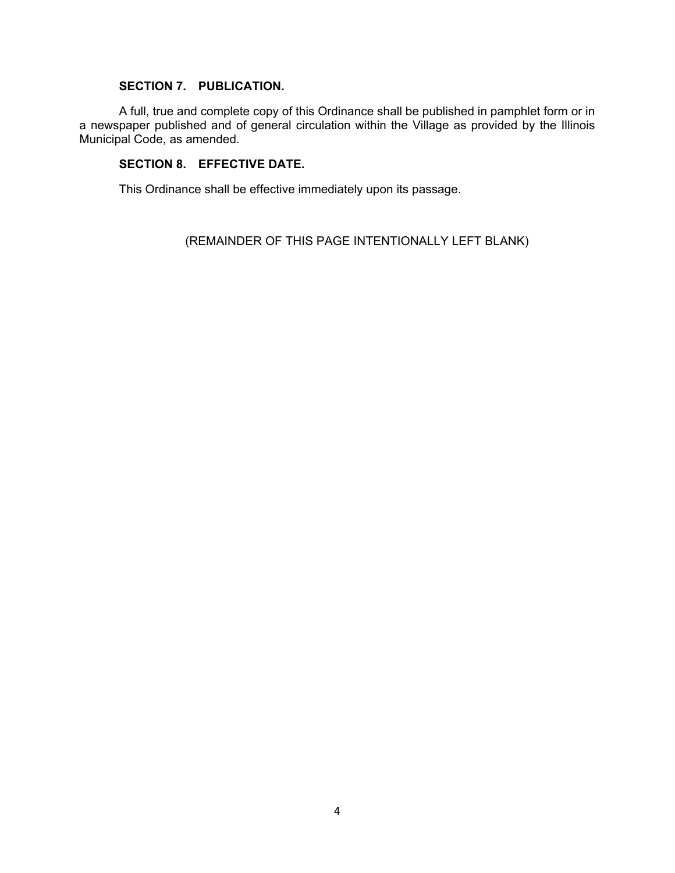# **SECTION 7. PUBLICATION.**

A full, true and complete copy of this Ordinance shall be published in pamphlet form or in a newspaper published and of general circulation within the Village as provided by the Illinois Municipal Code, as amended.

# **SECTION 8. EFFECTIVE DATE.**

This Ordinance shall be effective immediately upon its passage.

(REMAINDER OF THIS PAGE INTENTIONALLY LEFT BLANK)